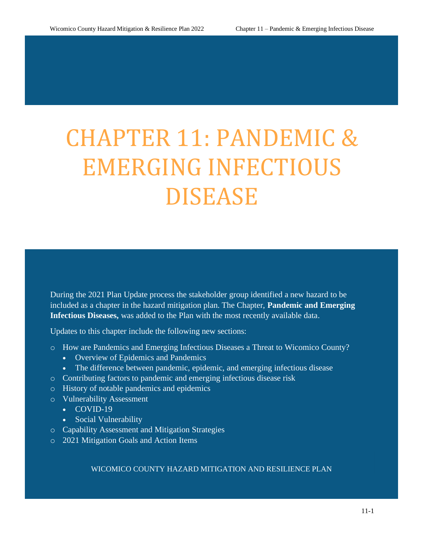# CHAPTER 11: PANDEMIC & EMERGING INFECTIOUS DISEASE

During the 2021 Plan Update process the stakeholder group identified a new hazard to be included as a chapter in the hazard mitigation plan. The Chapter, **Pandemic and Emerging Infectious Diseases,** was added to the Plan with the most recently available data.

Updates to this chapter include the following new sections:

- o How are Pandemics and Emerging Infectious Diseases a Threat to Wicomico County?
	- Overview of Epidemics and Pandemics
	- The difference between pandemic, epidemic, and emerging infectious disease
- o Contributing factors to pandemic and emerging infectious disease risk
- o History of notable pandemics and epidemics
- o Vulnerability Assessment
	- COVID-19
		- Social Vulnerability
- o Capability Assessment and Mitigation Strategies
- o 2021 Mitigation Goals and Action Items

WICOMICO COUNTY HAZARD MITIGATION AND RESILIENCE PLAN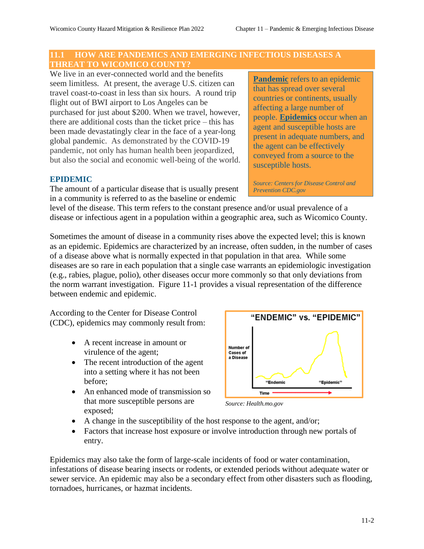# **11.1 HOW ARE PANDEMICS AND EMERGING INFECTIOUS DISEASES A THREAT TO WICOMICO COUNTY?**

We live in an ever-connected world and the benefits seem limitless. At present, the average U.S. citizen can travel coast-to-coast in less than six hours. A round trip flight out of BWI airport to Los Angeles can be purchased for just about \$200. When we travel, however, there are additional costs than the ticket price – this has been made devastatingly clear in the face of a year-long global pandemic. As demonstrated by the COVID-19 pandemic, not only has human health been jeopardized, but also the social and economic well-being of the world.

# **EPIDEMIC**

The amount of a particular disease that is usually present in a community is referred to as the baseline or endemic

**Pandemic** refers to an epidemic that has spread over several countries or continents, usually affecting a large number of people. **Epidemics** occur when an agent and susceptible hosts are present in adequate numbers, and the agent can be effectively conveyed from a source to the susceptible hosts.

*Source: Centers for Disease Control and Prevention CDC.gov*

level of the disease. This term refers to the constant presence and/or usual prevalence of a disease or infectious agent in a population within a geographic area, such as Wicomico County.

Sometimes the amount of disease in a community rises above the expected level; this is known as an epidemic. Epidemics are characterized by an increase, often sudden, in the number of cases of a disease above what is normally expected in that population in that area. While some diseases are so rare in each population that a single case warrants an epidemiologic investigation (e.g., rabies, plague, polio), other diseases occur more commonly so that only deviations from the norm warrant investigation. Figure 11-1 provides a visual representation of the difference between endemic and epidemic.

According to the Center for Disease Control (CDC), epidemics may commonly result from:

- A recent increase in amount or virulence of the agent;
- The recent introduction of the agent into a setting where it has not been before;
- An enhanced mode of transmission so that more susceptible persons are exposed;



*Source: Health.mo.gov*

- A change in the susceptibility of the host response to the agent, and/or;
- Factors that increase host exposure or involve introduction through new portals of entry.

Epidemics may also take the form of large-scale incidents of food or water contamination, infestations of disease bearing insects or rodents, or extended periods without adequate water or sewer service. An epidemic may also be a secondary effect from other disasters such as flooding, tornadoes, hurricanes, or hazmat incidents.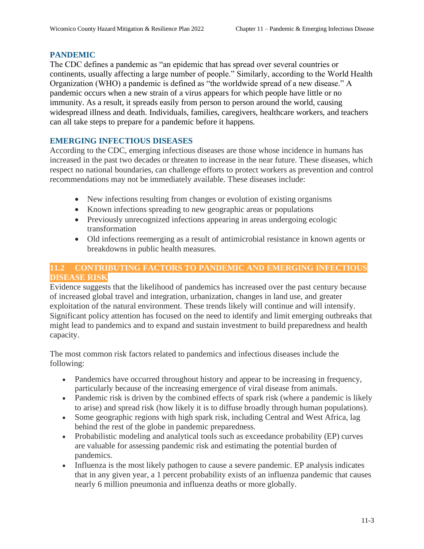# **PANDEMIC**

The CDC defines a pandemic as "an epidemic that has spread over several countries or continents, usually affecting a large number of people." Similarly, according to the World Health Organization (WHO) a pandemic is defined as "the worldwide spread of a new disease." A pandemic occurs when a new strain of a virus appears for which people have little or no immunity. As a result, it spreads easily from person to person around the world, causing widespread illness and death. Individuals, families, caregivers, healthcare workers, and teachers can all take steps to prepare for a pandemic before it happens.

# **EMERGING INFECTIOUS DISEASES**

According to the CDC, emerging infectious diseases are those whose incidence in humans has increased in the past two decades or threaten to increase in the near future. These diseases, which respect no national boundaries, can challenge efforts to protect workers as prevention and control recommendations may not be immediately available. These diseases include:

- New infections resulting from changes or evolution of existing organisms
- Known infections spreading to new geographic areas or populations
- Previously unrecognized infections appearing in areas undergoing ecologic transformation
- Old infections reemerging as a result of antimicrobial resistance in known agents or breakdowns in public health measures.

# **11.2 CONTRIBUTING FACTORS TO PANDEMIC AND EMERGING INFECTIOUS DISEASE RISK**

Evidence suggests that the likelihood of pandemics has increased over the past century because of increased global travel and integration, urbanization, changes in land use, and greater exploitation of the natural environment. These trends likely will continue and will intensify. Significant policy attention has focused on the need to identify and limit emerging outbreaks that might lead to pandemics and to expand and sustain investment to build preparedness and health capacity.

The most common risk factors related to pandemics and infectious diseases include the following:

- Pandemics have occurred throughout history and appear to be increasing in frequency, particularly because of the increasing emergence of viral disease from animals.
- Pandemic risk is driven by the combined effects of spark risk (where a pandemic is likely to arise) and spread risk (how likely it is to diffuse broadly through human populations).
- Some geographic regions with high spark risk, including Central and West Africa, lag behind the rest of the globe in pandemic preparedness.
- Probabilistic modeling and analytical tools such as exceedance probability (EP) curves are valuable for assessing pandemic risk and estimating the potential burden of pandemics.
- Influenza is the most likely pathogen to cause a severe pandemic. EP analysis indicates that in any given year, a 1 percent probability exists of an influenza pandemic that causes nearly 6 million pneumonia and influenza deaths or more globally.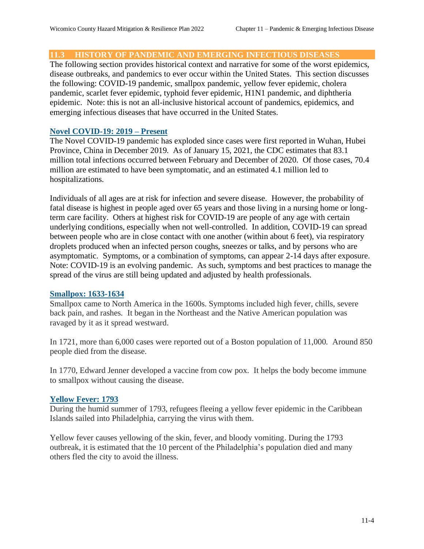#### **11.3 HISTORY OF PANDEMIC AND EMERGING INFECTIOUS DISEASES**

The following section provides historical context and narrative for some of the worst epidemics, disease outbreaks, and pandemics to ever occur within the United States. This section discusses the following: COVID-19 pandemic, smallpox pandemic, yellow fever epidemic, cholera pandemic, scarlet fever epidemic, typhoid fever epidemic, H1N1 pandemic, and diphtheria epidemic. Note: this is not an all-inclusive historical account of pandemics, epidemics, and emerging infectious diseases that have occurred in the United States.

#### **Novel COVID-19: 2019 – Present**

The Novel COVID-19 pandemic has exploded since cases were first reported in Wuhan, Hubei Province, China in December 2019. As of January 15, 2021, the CDC estimates that 83.1 million total infections occurred between February and December of 2020. Of those cases, 70.4 million are estimated to have been symptomatic, and an estimated 4.1 million led to hospitalizations.

Individuals of all ages are at risk for infection and severe disease. However, the probability of fatal disease is highest in people aged over 65 years and those living in a nursing home or longterm care facility. Others at highest risk for COVID-19 are people of any age with certain underlying conditions, especially when not well-controlled. In addition, COVID-19 can spread between people who are in close contact with one another (within about 6 feet), via respiratory droplets produced when an infected person coughs, sneezes or talks, and by persons who are asymptomatic. Symptoms, or a combination of symptoms, can appear 2-14 days after exposure. Note: COVID-19 is an evolving pandemic. As such, symptoms and best practices to manage the spread of the virus are still being updated and adjusted by health professionals.

#### **Smallpox: 1633-1634**

[Smallpox](https://www.healthline.com/health/smallpox) came to North America in the 1600s. Symptoms included high fever, chills, severe back pain, and rashes. It began in the Northeast and the Native American population was ravaged by it as it spread westward.

In 1721, more than [6,000 cases](http://sitn.hms.harvard.edu/flash/special-edition-on-infectious-disease/2014/the-fight-over-inoculation-during-the-1721-boston-smallpox-epidemic/) were reported out of a Boston population of 11,000. Around 850 people died from the disease.

In 1770, Edward Jenner developed a vaccine from cow pox. It helps the body become immune to smallpox without causing the disease.

#### **Yellow Fever: 1793**

During the humid summer of 1793, refugees fleeing a [yellow fever](https://www.healthline.com/health/yellow-fever) epidemic in the Caribbean Islands sailed into Philadelphia, carrying the virus with them.

Yellow fever causes yellowing of the skin, fever, and bloody vomiting. During the 1793 outbreak, it is estimated that the [10 percent](https://www.historyofvaccines.org/content/yellow-fever-decimates-philadelphia) of the Philadelphia's population died and many others fled the city to avoid the illness.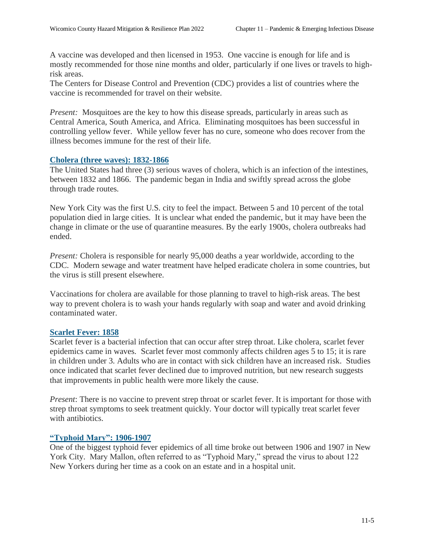A vaccine was developed and then licensed in 1953. One vaccine is enough for life and is mostly recommended for those nine months and older, particularly if one lives or travels to highrisk areas.

The Centers for Disease Control and Prevention (CDC) provides a list of countries where the vaccine is recommended for travel on their [website.](https://wwwnc.cdc.gov/travel/diseases/yellow-fever)

*Present:* Mosquitoes are the key to how this disease spreads, particularly in areas such as Central America, South America, and Africa. Eliminating mosquitoes has been successful in controlling yellow fever. While yellow fever has no cure, someone who does recover from the illness becomes immune for the rest of their life.

#### **Cholera (three waves): 1832-1866**

The United States had three (3) serious waves of cholera, which is an infection of the intestines, between 1832 and 1866. The pandemic began in India and swiftly spread across the globe through trade routes.

New York City was the first U.S. city to feel the impact. Between 5 and 10 percent of the total population died in large cities. It is unclear what ended the pandemic, but it may have been the change in climate or the use of quarantine measures. By the early 1900s, cholera outbreaks had ended.

*Present:* Cholera is responsible for nearly 95,000 deaths a year worldwide, according to the CDC. Modern sewage and water treatment have helped eradicate cholera in some countries, but the virus is still present elsewhere.

Vaccinations for cholera are available for those planning to travel to high-risk areas. The best way to prevent cholera is to wash your hands regularly with soap and water and avoid drinking contaminated water.

#### **Scarlet Fever: 1858**

Scarlet fever is a bacterial infection that can occur after strep throat. Like cholera, scarlet fever epidemics came in waves. Scarlet fever most commonly affects children ages 5 to 15; it is rare in children under 3. Adults who are in contact with sick children have an increased risk. Studies once indicated that scarlet fever declined due to improved nutrition, but new research suggests that improvements in public health were more likely the cause.

*Present*: There is no vaccine to prevent strep throat or scarlet fever. It is important for those with strep throat symptoms to seek treatment quickly. Your doctor will typically treat scarlet fever with antibiotics.

#### **"Typhoid Mary": 1906-1907**

One of the biggest [typhoid fever](https://www.healthline.com/health/is-typhoid-contagious) epidemics of all time broke out between 1906 and 1907 in New York City. Mary Mallon, often referred to as "Typhoid Mary," spread the virus to about 122 New Yorkers during her time as a cook on an estate and in a hospital unit.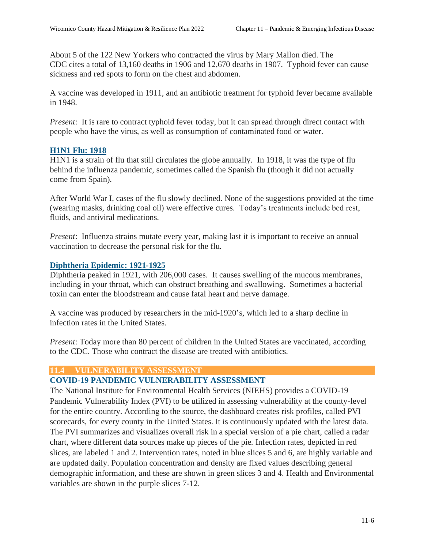About [5 of the 122](https://www.ncbi.nlm.nih.gov/pmc/articles/PMC3959940/) New Yorkers who contracted the virus by Mary Mallon died. The CDC [cites](https://www.cdc.gov/nchs/data/vsushistorical/mortstatsh_1907.pdf) a total of 13,160 deaths in 1906 and 12,670 deaths in 1907. Typhoid fever can cause sickness and red spots to form on the chest and abdomen.

A vaccine was developed in 1911, and an antibiotic treatment for typhoid fever became available in 1948.

*Present*: It is rare to contract typhoid fever today, but it can spread through direct contact with people who have the virus, as well as consumption of contaminated food or water.

#### **H1N1 Flu: 1918**

H1N1 is a strain of flu that still circulates the globe annually. In 1918, it was the type of flu behind the [influenza pandemic,](https://www.healthline.com/health/1918-flu-pandemic-facts#1) sometimes called the Spanish flu (though it did not actually come from Spain).

After World War I, cases of the flu slowly declined. None of the suggestions provided at the time (wearing masks, drinking coal oil) were effective cures. Today's treatments include bed rest, fluids, and antiviral medications.

*Present*: Influenza strains mutate every year, making last it is important to receive an annual vaccination to decrease the personal risk for the flu.

#### **Diphtheria Epidemic: 1921-1925**

[Diphtheria](https://www.healthline.com/health/diphtheria) peaked in 1921, with [206,000 cases.](https://www.cdc.gov/diphtheria/clinicians.html) It causes swelling of the mucous membranes, including in your throat, which can obstruct breathing and swallowing. Sometimes a bacterial toxin can enter the bloodstream and cause fatal heart and nerve damage.

A vaccine was produced by researchers in the mid-1920's, which led to a sharp decline in infection rates in the United States.

*Present*: Today more than [80 percent](https://www.cdc.gov/nchs/fastats/immunize.htm) of children in the United States are vaccinated, according to the CDC. Those who contract the disease are treated with antibiotics.

#### **11.4 VULNERABILITY ASSESSMENT**

# **COVID-19 PANDEMIC VULNERABILITY ASSESSMENT**

The National Institute for Environmental Health Services (NIEHS) provides a COVID-19 Pandemic Vulnerability Index (PVI) to be utilized in assessing vulnerability at the county-level for the entire country. According to the source, the dashboard creates risk profiles, called PVI scorecards, for every county in the United States. It is continuously updated with the latest data. The PVI summarizes and visualizes overall risk in a special version of a pie chart, called a radar chart, where different data sources make up pieces of the pie. Infection rates, depicted in red slices, are labeled 1 and 2. Intervention rates, noted in blue slices 5 and 6, are highly variable and are updated daily. Population concentration and density are fixed values describing general demographic information, and these are shown in green slices 3 and 4. Health and Environmental variables are shown in the purple slices 7-12.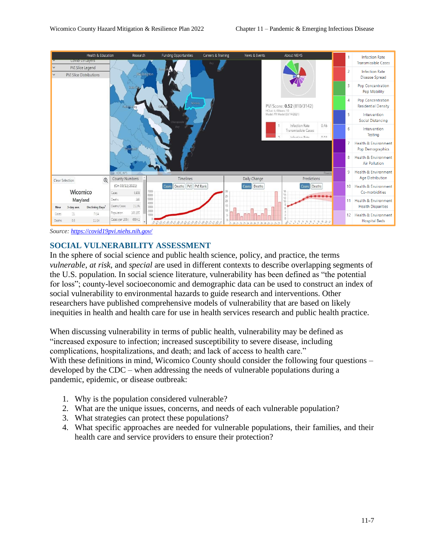

*Source[: https://covid19pvi.niehs.nih.gov/](https://covid19pvi.niehs.nih.gov/)*

# **SOCIAL VULNERABILITY ASSESSMENT**

In the sphere of social science and public health science, policy, and practice, the terms *vulnerable*, *at risk,* and *special* are used in different contexts to describe overlapping segments of the U.S. population. In social science literature, vulnerability has been defined as "the potential for loss"; county-level socioeconomic and demographic data can be used to construct an index of social vulnerability to environmental hazards to guide research and interventions. Other researchers have published comprehensive models of vulnerability that are based on likely inequities in health and health care for use in health services research and public health practice.

When discussing vulnerability in terms of public health, vulnerability may be defined as "increased exposure to infection; increased susceptibility to severe disease, including complications, hospitalizations, and death; and lack of access to health care." With these definitions in mind, Wicomico County should consider the following four questions – developed by the CDC – when addressing the needs of vulnerable populations during a pandemic, epidemic, or disease outbreak:

- 1. Why is the population considered vulnerable?
- 2. What are the unique issues, concerns, and needs of each vulnerable population?
- 3. What strategies can protect these populations?
- 4. What specific approaches are needed for vulnerable populations, their families, and their health care and service providers to ensure their protection?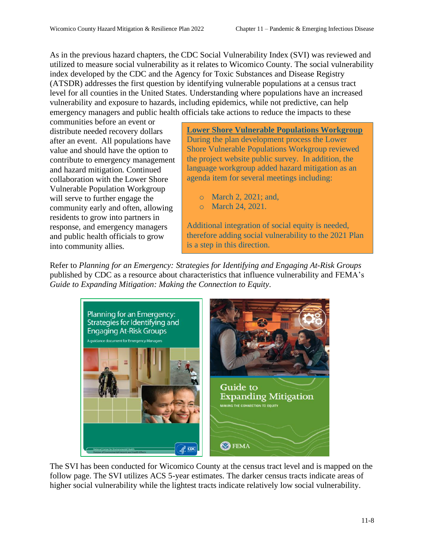As in the previous hazard chapters, the CDC Social Vulnerability Index (SVI) was reviewed and utilized to measure social vulnerability as it relates to Wicomico County. The social vulnerability index developed by the CDC and the Agency for Toxic Substances and Disease Registry (ATSDR) addresses the first question by identifying vulnerable populations at a census tract level for all counties in the United States. Understanding where populations have an increased vulnerability and exposure to hazards, including epidemics, while not predictive, can help emergency managers and public health officials take actions to reduce the impacts to these

communities before an event or distribute needed recovery dollars after an event. All populations have value and should have the option to contribute to emergency management and hazard mitigation. Continued collaboration with the Lower Shore Vulnerable Population Workgroup will serve to further engage the community early and often, allowing residents to grow into partners in response, and emergency managers and public health officials to grow into community allies.

**Lower Shore Vulnerable Populations Workgroup** During the plan development process the Lower Shore Vulnerable Populations Workgroup reviewed the project website public survey. In addition, the language workgroup added hazard mitigation as an agenda item for several meetings including:

- o March 2, 2021; and,
- o March 24, 2021.

Additional integration of social equity is needed, therefore adding social vulnerability to the 2021 Plan is a step in this direction.

Refer to *Planning for an Emergency: Strategies for Identifying and Engaging At-Risk Groups* published by CDC as a resource about characteristics that influence vulnerability and FEMA's *Guide to Expanding Mitigation: Making the Connection to Equity*.



The SVI has been conducted for Wicomico County at the census tract level and is mapped on the follow page. The SVI utilizes ACS 5-year estimates. The darker census tracts indicate areas of higher social vulnerability while the lightest tracts indicate relatively low social vulnerability.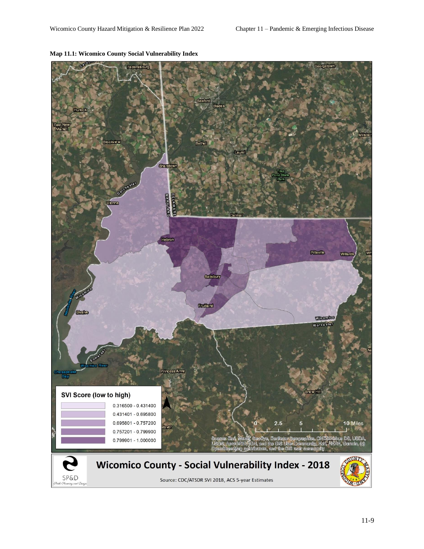

#### **Map 11.1: Wicomico County Social Vulnerability Index**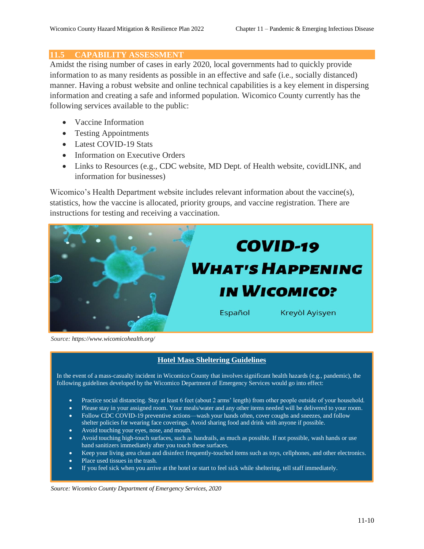#### **11.5 CAPABILITY ASSESSMENT**

Amidst the rising number of cases in early 2020, local governments had to quickly provide information to as many residents as possible in an effective and safe (i.e., socially distanced) manner. Having a robust website and online technical capabilities is a key element in dispersing information and creating a safe and informed population. Wicomico County currently has the following services available to the public:

- Vaccine Information
- Testing Appointments
- Latest COVID-19 Stats
- Information on Executive Orders
- Links to Resources (e.g., CDC website, MD Dept. of Health website, covidLINK, and information for businesses)

Wicomico's Health Department website includes relevant information about the vaccine(s), statistics, how the vaccine is allocated, priority groups, and vaccine registration. There are instructions for testing and receiving a vaccination.



*Source: https://www.wicomicohealth.org/*

# **Hotel Mass Sheltering Guidelines**

In the event of a mass-casualty incident in Wicomico County that involves significant health hazards (e.g., pandemic), the following guidelines developed by the Wicomico Department of Emergency Services would go into effect:

- [Practice social distancing.](https://www.cdc.gov/coronavirus/2019-ncov/prevent-getting-sick/social-distancing.html) Stay at least 6 feet (about 2 arms' length) from other people outside of your household.
- Please stay in your assigned room. Your meals/water and any other items needed will be delivered to your room.
- Follo[w CDC COVID-19 preventive actions—](https://www.cdc.gov/coronavirus/2019-ncov/prevent-getting-sick/prevention.html)wash your hands often, cover coughs and sneezes, and follow shelter policies for wearin[g face coverings.](https://www.cdc.gov/coronavirus/2019-ncov/prevent-getting-sick/diy-cloth-face-coverings.html) Avoid sharing food and drink with anyone if possible.
- Avoid touching your eyes, nose, and mouth.
- Avoid touching high-touch surfaces, such as handrails, as much as possible. If not possible[, wash hands](https://www.cdc.gov/handwashing/when-how-handwashing.html) or use hand sanitizers immediately after you touch these surfaces.
- Keep your living are[a clean and disinfect](https://www.cdc.gov/coronavirus/2019-ncov/prevent-getting-sick/disinfecting-your-home.html) frequently-touched items such as toys, cellphones, and other electronics.
- Place used tissues in the trash.
- [If you feel sick](https://www.cdc.gov/coronavirus/2019-ncov/symptoms-testing/symptoms.html) when you arrive at the hotel or start to feel sick while sheltering, tell staff immediately.

*Source: Wicomico County Department of Emergency Services, 2020*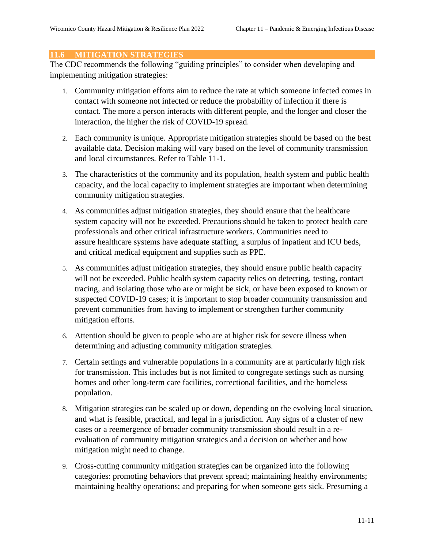# **11.6 MITIGATION STRATEGIES**

The CDC recommends the following "guiding principles" to consider when developing and implementing mitigation strategies:

- 1. Community mitigation efforts aim to reduce the rate at which someone infected comes in contact with someone not infected or reduce the probability of infection if there is contact. The more a person interacts with different people, and the longer and closer the interaction, the higher the risk of COVID-19 spread.
- 2. Each community is unique. Appropriate mitigation strategies should be based on the best available data. Decision making will vary based on the level of community transmission and local circumstances. Refer to Table 11-1.
- 3. The characteristics of the community and its population, health system and public health capacity, and the local capacity to implement strategies are important when determining community mitigation strategies.
- 4. As communities adjust mitigation strategies, they should ensure that the healthcare system capacity will not be exceeded. Precautions should be taken to protect health care professionals and other critical infrastructure workers. Communities need to assure healthcare systems have adequate staffing, a surplus of inpatient and ICU beds, and critical medical equipment and supplies such as PPE.
- 5. As communities adjust mitigation strategies, they should ensure public health capacity will not be exceeded. Public health system capacity relies on detecting, testing, contact tracing, and isolating those who are or might be sick, or have been exposed to known or suspected COVID-19 cases; it is important to stop broader community transmission and prevent communities from having to implement or strengthen further community mitigation efforts.
- 6. Attention should be given to people who are at higher risk for severe illness when determining and adjusting community mitigation strategies.
- 7. Certain settings and vulnerable populations in a community are at particularly high risk for transmission. This includes but is not limited to congregate settings such as nursing homes and other long-term care facilities, correctional facilities, and the homeless population.
- 8. Mitigation strategies can be scaled up or down, depending on the evolving local situation, and what is feasible, practical, and legal in a jurisdiction. Any signs of a cluster of new cases or a reemergence of broader community transmission should result in a reevaluation of community mitigation strategies and a decision on whether and how mitigation might need to change.
- 9. Cross-cutting community mitigation strategies can be organized into the following categories: promoting behaviors that prevent spread; maintaining healthy environments; maintaining healthy operations; and preparing for when someone gets sick. Presuming a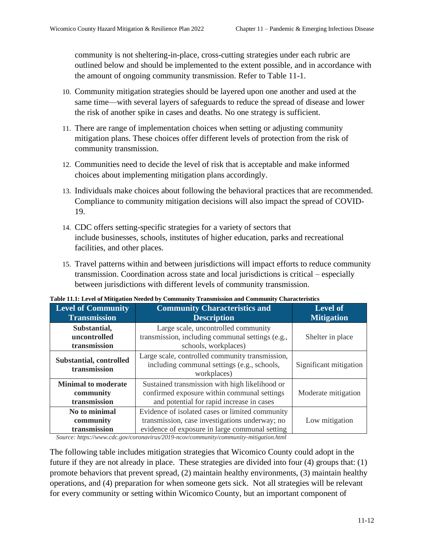community is not sheltering-in-place, cross-cutting strategies under each rubric are outlined below and should be implemented to the extent possible, and in accordance with the amount of ongoing community transmission. Refer to Table 11-1.

- 10. Community mitigation strategies should be layered upon one another and used at the same time—with several layers of safeguards to reduce the spread of disease and lower the risk of another spike in cases and deaths. No one strategy is sufficient.
- 11. There are range of implementation choices when setting or adjusting community mitigation plans. These choices offer different levels of protection from the risk of community transmission.
- 12. Communities need to decide the level of risk that is acceptable and make informed choices about implementing mitigation plans accordingly.
- 13. Individuals make choices about following the behavioral practices that are recommended. Compliance to community mitigation decisions will also impact the spread of COVID-19.
- 14. CDC offers setting-specific strategies for a variety of sectors that include businesses, schools, institutes of higher education, parks and recreational facilities, and other places.
- 15. Travel patterns within and between jurisdictions will impact efforts to reduce community transmission. Coordination across state and local jurisdictions is critical – especially between jurisdictions with different levels of community transmission.

| <b>Level of Community</b><br><b>Transmission</b>        | <b>Community Characteristics and</b><br><b>Description</b>                                                                                          | <b>Level of</b><br><b>Mitigation</b> |
|---------------------------------------------------------|-----------------------------------------------------------------------------------------------------------------------------------------------------|--------------------------------------|
| Substantial,<br>uncontrolled<br>transmission            | Large scale, uncontrolled community<br>transmission, including communal settings (e.g.,<br>schools, workplaces)                                     | Shelter in place                     |
| <b>Substantial, controlled</b><br>transmission          | Large scale, controlled community transmission,<br>including communal settings (e.g., schools,<br>workplaces)                                       | Significant mitigation               |
| <b>Minimal to moderate</b><br>community<br>transmission | Sustained transmission with high likelihood or<br>confirmed exposure within communal settings<br>and potential for rapid increase in cases          | Moderate mitigation                  |
| No to minimal<br>community<br>transmission              | Evidence of isolated cases or limited community<br>transmission, case investigations underway; no<br>evidence of exposure in large communal setting | Low mitigation                       |

**Table 11.1: Level of Mitigation Needed by Community Transmission and Community Characteristics**

*Source[: https://www.cdc.gov/coronavirus/2019-ncov/community/community-mitigation.html](https://www.cdc.gov/coronavirus/2019-ncov/community/community-mitigation.html)*

The following table includes mitigation strategies that Wicomico County could adopt in the future if they are not already in place. These strategies are divided into four (4) groups that: (1) promote behaviors that prevent spread, (2) maintain healthy environments, (3) maintain healthy operations, and (4) preparation for when someone gets sick. Not all strategies will be relevant for every community or setting within Wicomico County, but an important component of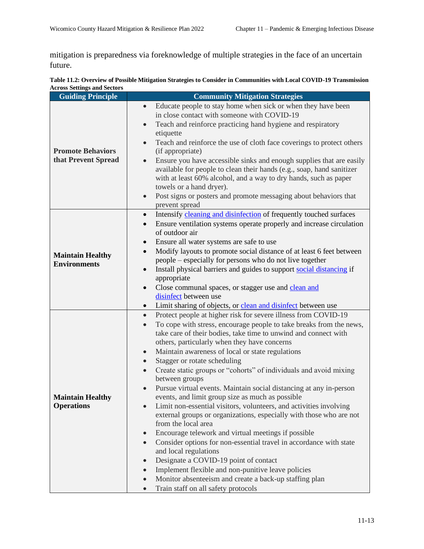mitigation is preparedness via foreknowledge of multiple strategies in the face of an uncertain future.

| Table 11.2: Overview of Possible Mitigation Strategies to Consider in Communities with Local COVID-19 Transmission |  |
|--------------------------------------------------------------------------------------------------------------------|--|
| <b>Across Settings and Sectors</b>                                                                                 |  |

| <b>Guiding Principle</b>                        | <b>Community Mitigation Strategies</b>                                                                                                                                                                                                                                                                                                                                                                                                                                                                                                                                                                                                                                                                                                                                                                                                                                                                                                                                                                                                                                                                                                                                                                                                 |  |
|-------------------------------------------------|----------------------------------------------------------------------------------------------------------------------------------------------------------------------------------------------------------------------------------------------------------------------------------------------------------------------------------------------------------------------------------------------------------------------------------------------------------------------------------------------------------------------------------------------------------------------------------------------------------------------------------------------------------------------------------------------------------------------------------------------------------------------------------------------------------------------------------------------------------------------------------------------------------------------------------------------------------------------------------------------------------------------------------------------------------------------------------------------------------------------------------------------------------------------------------------------------------------------------------------|--|
| <b>Promote Behaviors</b><br>that Prevent Spread | Educate people to stay home when sick or when they have been<br>$\bullet$<br>in close contact with someone with COVID-19<br>Teach and reinforce practicing hand hygiene and respiratory<br>$\bullet$<br>etiquette<br>Teach and reinforce the use of cloth face coverings to protect others<br>$\bullet$<br>(if appropriate)<br>Ensure you have accessible sinks and enough supplies that are easily<br>$\bullet$<br>available for people to clean their hands (e.g., soap, hand sanitizer<br>with at least 60% alcohol, and a way to dry hands, such as paper<br>towels or a hand dryer).<br>Post signs or posters and promote messaging about behaviors that<br>$\bullet$<br>prevent spread                                                                                                                                                                                                                                                                                                                                                                                                                                                                                                                                           |  |
| <b>Maintain Healthy</b><br><b>Environments</b>  | Intensify cleaning and disinfection of frequently touched surfaces<br>$\bullet$<br>Ensure ventilation systems operate properly and increase circulation<br>$\bullet$<br>of outdoor air<br>Ensure all water systems are safe to use<br>$\bullet$<br>Modify layouts to promote social distance of at least 6 feet between<br>$\bullet$<br>people – especially for persons who do not live together<br>Install physical barriers and guides to support social distancing if<br>$\bullet$<br>appropriate<br>Close communal spaces, or stagger use and clean and<br>$\bullet$<br>disinfect between use<br>Limit sharing of objects, or clean and disinfect between use<br>$\bullet$                                                                                                                                                                                                                                                                                                                                                                                                                                                                                                                                                         |  |
| <b>Maintain Healthy</b><br><b>Operations</b>    | Protect people at higher risk for severe illness from COVID-19<br>$\bullet$<br>To cope with stress, encourage people to take breaks from the news,<br>$\bullet$<br>take care of their bodies, take time to unwind and connect with<br>others, particularly when they have concerns<br>Maintain awareness of local or state regulations<br>$\bullet$<br>Stagger or rotate scheduling<br>$\bullet$<br>Create static groups or "cohorts" of individuals and avoid mixing<br>$\bullet$<br>between groups<br>Pursue virtual events. Maintain social distancing at any in-person<br>events, and limit group size as much as possible<br>Limit non-essential visitors, volunteers, and activities involving<br>external groups or organizations, especially with those who are not<br>from the local area<br>Encourage telework and virtual meetings if possible<br>$\bullet$<br>Consider options for non-essential travel in accordance with state<br>$\bullet$<br>and local regulations<br>Designate a COVID-19 point of contact<br>$\bullet$<br>Implement flexible and non-punitive leave policies<br>$\bullet$<br>Monitor absenteeism and create a back-up staffing plan<br>$\bullet$<br>Train staff on all safety protocols<br>$\bullet$ |  |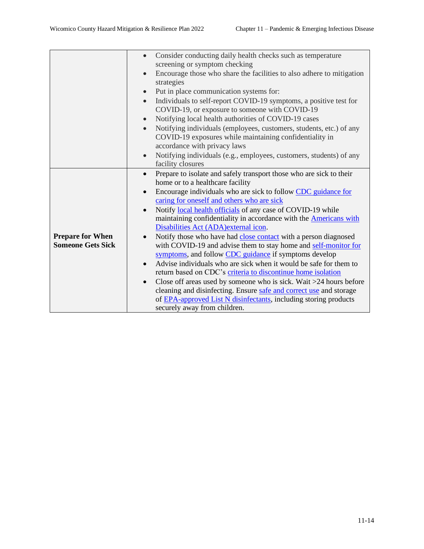|                          | Consider conducting daily health checks such as temperature<br>$\bullet$           |  |
|--------------------------|------------------------------------------------------------------------------------|--|
|                          | screening or symptom checking                                                      |  |
|                          | Encourage those who share the facilities to also adhere to mitigation<br>$\bullet$ |  |
|                          | strategies                                                                         |  |
|                          | Put in place communication systems for:<br>$\bullet$                               |  |
|                          | Individuals to self-report COVID-19 symptoms, a positive test for<br>$\bullet$     |  |
|                          | COVID-19, or exposure to someone with COVID-19                                     |  |
|                          | Notifying local health authorities of COVID-19 cases<br>$\bullet$                  |  |
|                          | Notifying individuals (employees, customers, students, etc.) of any<br>$\bullet$   |  |
|                          | COVID-19 exposures while maintaining confidentiality in                            |  |
|                          | accordance with privacy laws                                                       |  |
|                          | Notifying individuals (e.g., employees, customers, students) of any<br>$\bullet$   |  |
|                          | facility closures                                                                  |  |
|                          | Prepare to isolate and safely transport those who are sick to their<br>$\bullet$   |  |
|                          | home or to a healthcare facility                                                   |  |
|                          | Encourage individuals who are sick to follow CDC guidance for<br>$\bullet$         |  |
|                          | caring for oneself and others who are sick                                         |  |
|                          | Notify local health officials of any case of COVID-19 while<br>$\bullet$           |  |
|                          | maintaining confidentiality in accordance with the <b>Americans with</b>           |  |
|                          | Disabilities Act (ADA) external icon.                                              |  |
| <b>Prepare for When</b>  | Notify those who have had close contact with a person diagnosed<br>$\bullet$       |  |
| <b>Someone Gets Sick</b> | with COVID-19 and advise them to stay home and self-monitor for                    |  |
|                          | symptoms, and follow CDC guidance if symptoms develop                              |  |
|                          | Advise individuals who are sick when it would be safe for them to<br>$\bullet$     |  |
|                          | return based on CDC's criteria to discontinue home isolation                       |  |
|                          | Close off areas used by someone who is sick. Wait >24 hours before<br>$\bullet$    |  |
|                          | cleaning and disinfecting. Ensure safe and correct use and storage                 |  |
|                          | of EPA-approved List N disinfectants, including storing products                   |  |
|                          | securely away from children.                                                       |  |